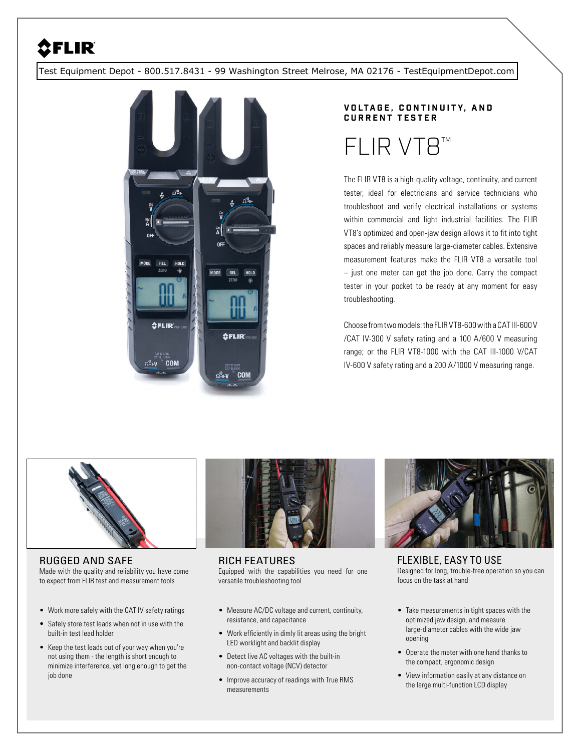## **SELIR**

[Test Equipment Depot - 800.517.8431 - 99 Washington Street Melrose, MA 02176 - TestEquipmentDepot.com](http://www.testequipmentdepot.com/) 



## **V O LT A G E , C O N T I N U I T Y, A N D CURRENT TESTER** FLIR VT

The FLIR VT8 is a high-quality voltage, continuity, and current tester, ideal for electricians and service technicians who troubleshoot and verify electrical installations or systems within commercial and light industrial facilities. The FLIR VT8's optimized and open-jaw design allows it to fit into tight spaces and reliably measure large-diameter cables. Extensive measurement features make the FLIR VT8 a versatile tool – just one meter can get the job done. Carry the compact tester in your pocket to be ready at any moment for easy troubleshooting.

Choose from two models: the FLIR VT8-600 with a CAT III-600 V /CAT IV-300 V safety rating and a 100 A/600 V measuring range; or the FLIR VT8-1000 with the CAT III-1000 V/CAT IV-600 V safety rating and a 200 A/1000 V measuring range.



RICH FEATURES Equipped with the capabilities you need for one versatile troubleshooting tool

- Measure AC/DC voltage and current, continuity, resistance, and capacitance
- Work efficiently in dimly lit areas using the bright LED worklight and backlit display
- Detect live AC voltages with the built-in non-contact voltage (NCV) detector
- Improve accuracy of readings with True RMS measurements



FLEXIBLE, EASY TO USE Designed for long, trouble-free operation so you can focus on the task at hand

- Take measurements in tight spaces with the optimized jaw design, and measure large-diameter cables with the wide jaw opening
- Operate the meter with one hand thanks to the compact, ergonomic design
- View information easily at any distance on the large multi-function LCD display

RUGGED AND SAFE

Made with the quality and reliability you have come to expect from FLIR test and measurement tools

- Work more safely with the CAT IV safety ratings
- Safely store test leads when not in use with the built-in test lead holder
- Keep the test leads out of your way when you're not using them - the length is short enough to minimize interference, yet long enough to get the job done